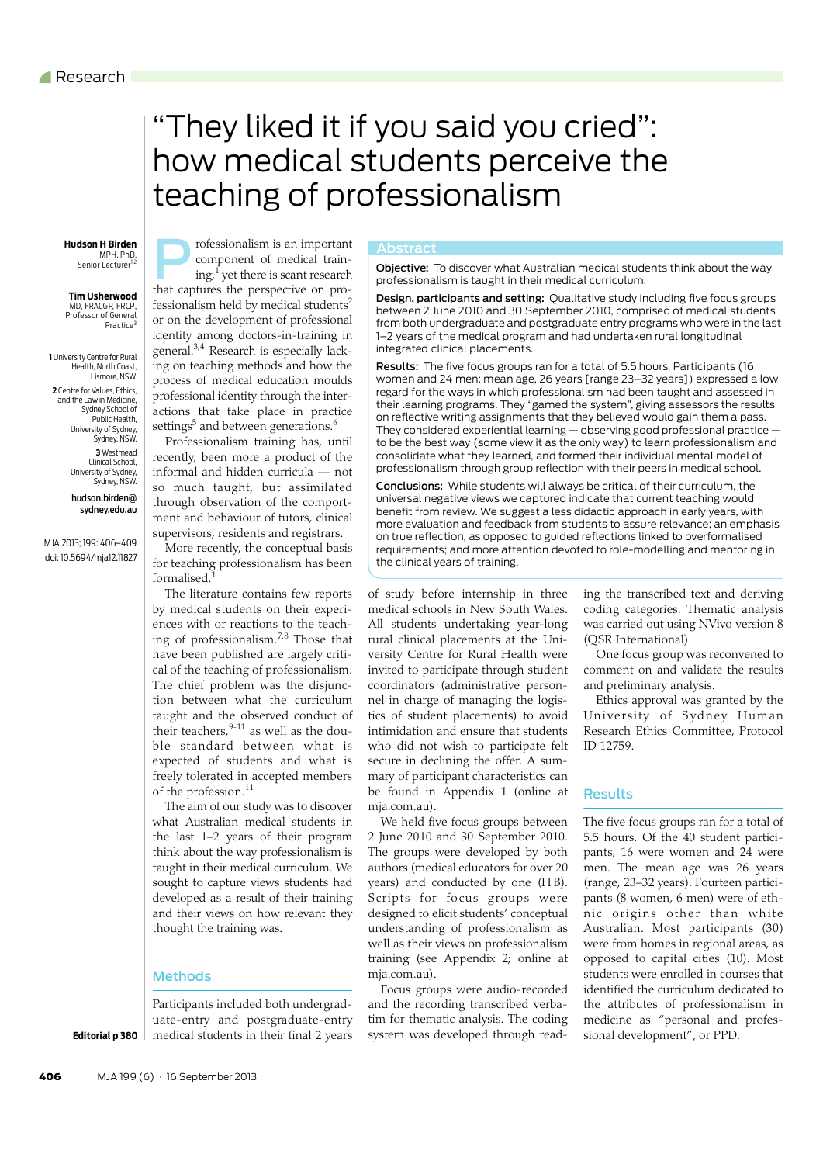# <span id="page-0-0"></span>"They liked it if you said you cried": how medical students perceive the teaching of professionalism

 MPH, PhD, Senior Lecturer<sup>1,2</sup>

**Tim Usherwood** MD, FRACGP, FRCP, Professor of General Practice<sup>3</sup>

**1** University Centre for Rural Health, North Coast, Lismore, NSW. **2** Centre for Values, Ethics, and the Law in Medicine, Sydney School of Public Health, University of Sydney, Sydney, NSW. **3** Westmead Clinical School, University of Sydney, Sydney, NSW.

> hudson.birden@ sydney.edu.au

MJA 2013; 199: [406–](#page-0-0)[409](#page-3-10) doi: 10.5694/mja12.11827



 $ing,1$  $ing,1$  yet there is scant research that captures the perspective on professionalism held by medical students $2$ or on the development of professional identity among doctors-in-training in general[.3](#page-3-2),[4](#page-3-3) Research is especially lacking on teaching methods and how the process of medical education moulds professional identity through the interactions that take place in practice settings $^5$  and between generations. $^6$ 

Professionalism training has, until recently, been more a product of the informal and hidden curricula — not so much taught, but assimilated through observation of the comportment and behaviour of tutors, clinical supervisors, residents and registrars.

More recently, the conceptual basis for teaching professionalism has been formalised.[1](#page-3-0)

The literature contains few reports by medical students on their experiences with or reactions to the teach-ing of professionalism.<sup>[7](#page-3-6),8</sup> Those that have been published are largely critical of the teaching of professionalism. The chief problem was the disjunction between what the curriculum taught and the observed conduct of their teachers. $9-11$  $9-11$  as well as the double standard between what is expected of students and what is freely tolerated in accepted members of the profession.<sup>[11](#page-3-9)</sup>

think about the way professionalism is  $\vert$  taught in their medical curriculum. We sought to capture views students had where  $\frac{3c}{1}$  $\vert$  are The aim of our study was to discover what Australian medical students in the last 1–2 years of their program developed as a result of their training and their views on how relevant they thought the training was.

# Methods

Participants included both undergraduate-entry and postgraduate-entry medical students in their final 2 years

**Editorial p 380**

Abstract<br>**Objective:** To discover what Australian medical students think about the way professionalism is taught in their medical curriculum.

Design, participants and setting: Qualitative study including five focus groups between 2 June 2010 and 30 September 2010, comprised of medical students from both undergraduate and postgraduate entry programs who were in the last 1–2 years of the medical program and had undertaken rural longitudinal integrated clinical placements.

Results: The five focus groups ran for a total of 5.5 hours. Participants (16 women and 24 men; mean age, 26 years [range 23–32 years]) expressed a low regard for the ways in which professionalism had been taught and assessed in their learning programs. They "gamed the system", giving assessors the results on reflective writing assignments that they believed would gain them a pass. They considered experiential learning — observing good professional practice to be the best way (some view it as the only way) to learn professionalism and consolidate what they learned, and formed their individual mental model of professionalism through group reflection with their peers in medical school.

Conclusions: While students will always be critical of their curriculum, the universal negative views we captured indicate that current teaching would benefit from review. We suggest a less didactic approach in early years, with more evaluation and feedback from students to assure relevance; an emphasis on true reflection, as opposed to guided reflections linked to overformalised requirements; and more attention devoted to role-modelling and mentoring in the clinical years of training.

of study before internship in three medical schools in New South Wales. All students undertaking year-long rural clinical placements at the University Centre for Rural Health were invited to participate through student coordinators (administrative personnel in charge of managing the logistics of student placements) to avoid intimidation and ensure that students who did not wish to participate felt secure in declining the offer. A summary of participant characteristics can be found in Appendix 1 (online at mja.com.au).

We held five focus groups between 2 June 2010 and 30 September 2010. The groups were developed by both authors (medical educators for over 20 years) and conducted by one (HB). Scripts for focus groups were designed to elicit students' conceptual understanding of professionalism as well as their views on professionalism training (see Appendix 2; online at mja.com.au).

Focus groups were audio-recorded and the recording transcribed verbatim for thematic analysis. The coding system was developed through reading the transcribed text and deriving coding categories. Thematic analysis was carried out using NVivo version 8 (QSR International).

One focus group was reconvened to comment on and validate the results and preliminary analysis.

Ethics approval was granted by the University of Sydney Human Research Ethics Committee, Protocol ID 12759.

#### Results

The five focus groups ran for a total of 5.5 hours. Of the 40 student participants, 16 were women and 24 were men. The mean age was 26 years (range, 23–32 years). Fourteen participants (8 women, 6 men) were of ethnic origins other than white Australian. Most participants (30) were from homes in regional areas, as opposed to capital cities (10). Most students were enrolled in courses that identified the curriculum dedicated to the attributes of professionalism in medicine as "personal and professional development", or PPD.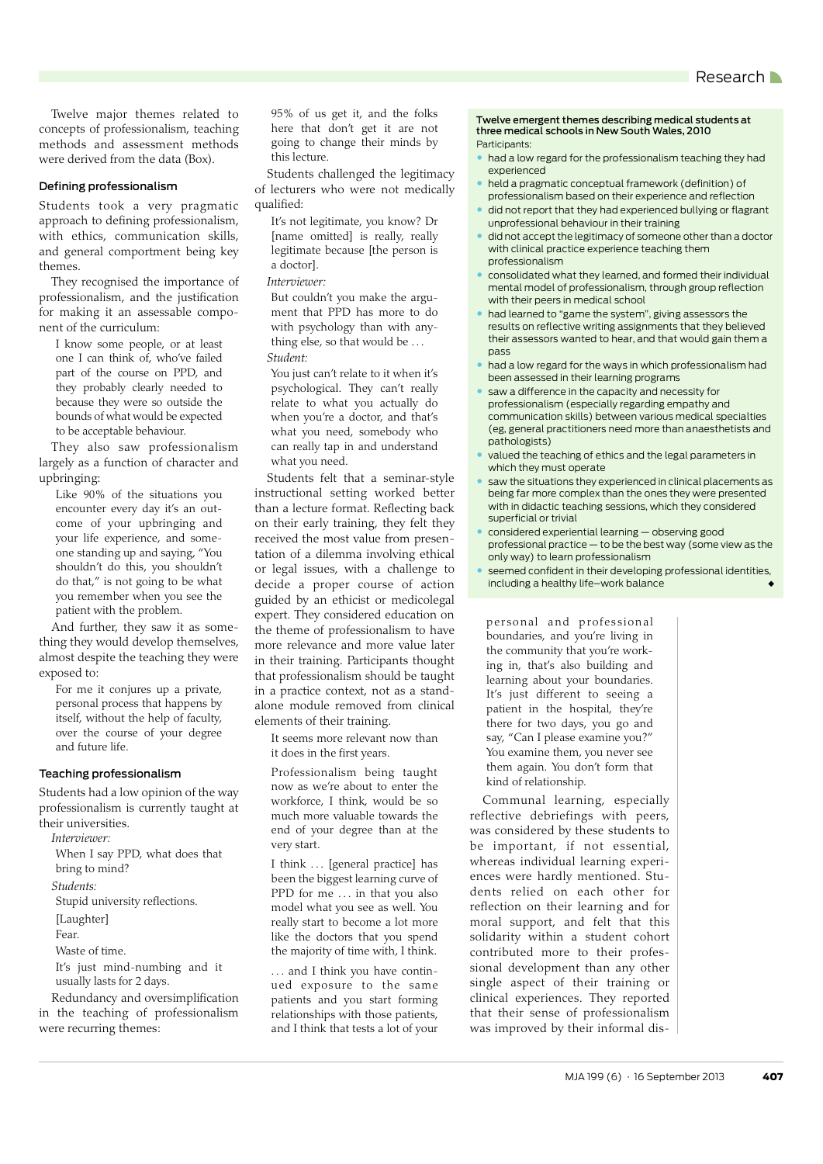Twelve major themes related to concepts of professionalism, teaching methods and assessment methods were derived from the data (Box).

#### Defining professionalism

Students took a very pragmatic approach to defining professionalism, with ethics, communication skills, and general comportment being key themes.

They recognised the importance of professionalism, and the justification for making it an assessable component of the curriculum:

I know some people, or at least one I can think of, who've failed part of the course on PPD, and they probably clearly needed to because they were so outside the bounds of what would be expected to be acceptable behaviour.

They also saw professionalism largely as a function of character and upbringing:

Like 90% of the situations you encounter every day it's an outcome of your upbringing and your life experience, and someone standing up and saying, "You shouldn't do this, you shouldn't do that," is not going to be what you remember when you see the patient with the problem.

And further, they saw it as something they would develop themselves, almost despite the teaching they were exposed to:

For me it conjures up a private, personal process that happens by itself, without the help of faculty, over the course of your degree and future life.

# Teaching professionalism

Students had a low opinion of the way professionalism is currently taught at their universities.

*Interviewer:*

When I say PPD, what does that

bring to mind?

*Students:*

Stupid university reflections.

[Laughter]

Fear.

Waste of time.

It's just mind-numbing and it usually lasts for 2 days.

Redundancy and oversimplification in the teaching of professionalism were recurring themes:

95% of us get it, and the folks here that don't get it are not going to change their minds by this lecture.

Students challenged the legitimacy of lecturers who were not medically qualified:

It's not legitimate, you know? Dr [name omitted] is really, really legitimate because [the person is a doctor].

*Interviewer:*

But couldn't you make the argument that PPD has more to do with psychology than with anything else, so that would be ... *Student:*

You just can't relate to it when it's psychological. They can't really relate to what you actually do when you're a doctor, and that's what you need, somebody who can really tap in and understand what you need.

Students felt that a seminar-style instructional setting worked better than a lecture format. Reflecting back on their early training, they felt they received the most value from presentation of a dilemma involving ethical or legal issues, with a challenge to decide a proper course of action guided by an ethicist or medicolegal expert. They considered education on the theme of professionalism to have more relevance and more value later in their training. Participants thought that professionalism should be taught in a practice context, not as a standalone module removed from clinical elements of their training.

It seems more relevant now than it does in the first years.

Professionalism being taught now as we're about to enter the workforce, I think, would be so much more valuable towards the end of your degree than at the very start.

I think . . . [general practice] has been the biggest learning curve of PPD for me ... in that you also model what you see as well. You really start to become a lot more like the doctors that you spend the majority of time with, I think.

... and I think you have continued exposure to the same patients and you start forming relationships with those patients, and I think that tests a lot of your

Twelve emergent themes describing medical students at three medical schools in New South Wales, 2010 Participants:

- had a low regard for the professionalism teaching they had experienced
- held a pragmatic conceptual framework (definition) of professionalism based on their experience and reflection
- did not report that they had experienced bullying or flagrant unprofessional behaviour in their training
- did not accept the legitimacy of someone other than a doctor with clinical practice experience teaching them professionalism
- consolidated what they learned, and formed their individual mental model of professionalism, through group reflection with their peers in medical school
- had learned to "game the system", giving assessors the results on reflective writing assignments that they believed their assessors wanted to hear, and that would gain them a pass
- had a low regard for the ways in which professionalism had been assessed in their learning programs
- saw a difference in the capacity and necessity for professionalism (especially regarding empathy and communication skills) between various medical specialties (eg, general practitioners need more than anaesthetists and pathologists)
- valued the teaching of ethics and the legal parameters in which they must operate
- saw the situations they experienced in clinical placements as being far more complex than the ones they were presented with in didactic teaching sessions, which they considered superficial or trivial
- considered experiential learning observing good professional practice — to be the best way (some view as the only way) to learn professionalism
- seemed confident in their developing professional identities, including a healthy life-work balance

personal and professional boundaries, and you're living in the community that you're working in, that's also building and learning about your boundaries. It's just different to seeing a patient in the hospital, they're there for two days, you go and say, "Can I please examine you?" You examine them, you never see them again. You don't form that kind of relationship.

Communal learning, especially reflective debriefings with peers, was considered by these students to be important, if not essential, whereas individual learning experiences were hardly mentioned. Students relied on each other for reflection on their learning and for moral support, and felt that this solidarity within a student cohort contributed more to their professional development than any other single aspect of their training or clinical experiences. They reported that their sense of professionalism was improved by their informal dis-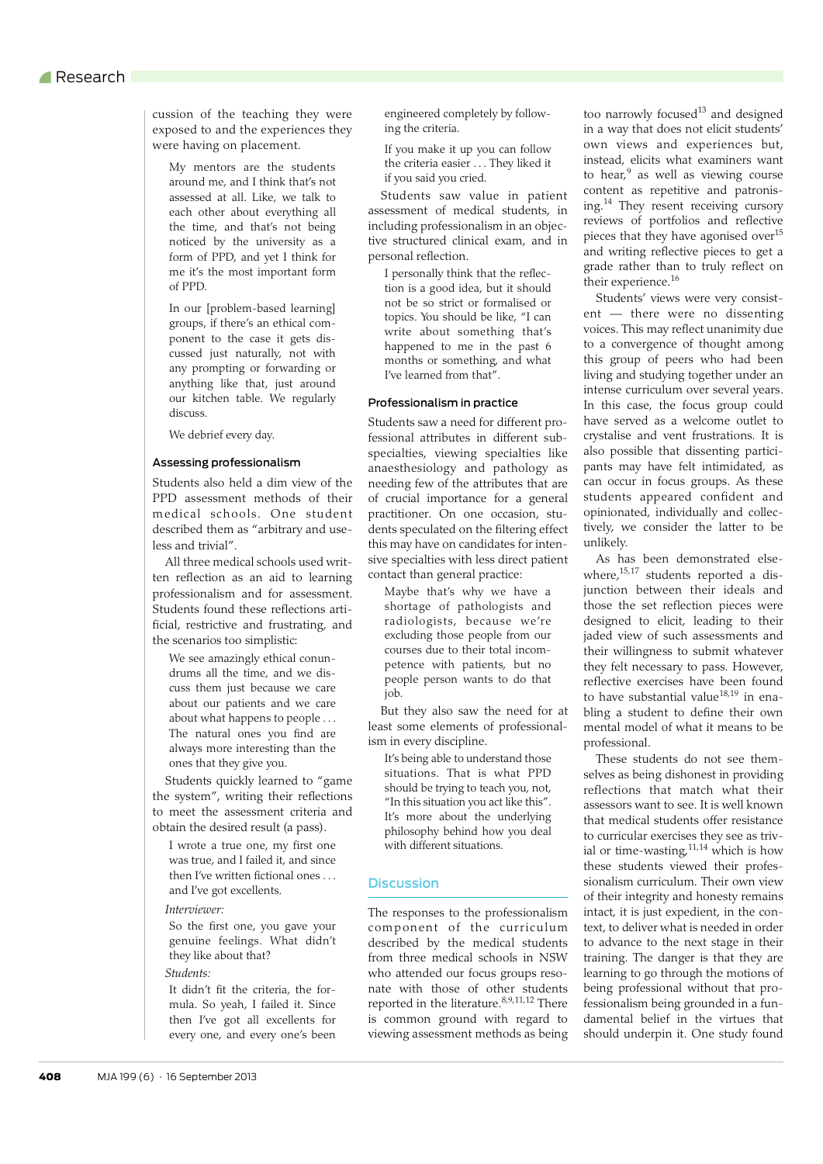cussion of the teaching they were exposed to and the experiences they were having on placement.

My mentors are the students around me, and I think that's not assessed at all. Like, we talk to each other about everything all the time, and that's not being noticed by the university as a form of PPD, and yet I think for me it's the most important form of PPD.

In our [problem-based learning] groups, if there's an ethical component to the case it gets discussed just naturally, not with any prompting or forwarding or anything like that, just around our kitchen table. We regularly discuss.

We debrief every day.

#### Assessing professionalism

Students also held a dim view of the PPD assessment methods of their medical schools. One student described them as "arbitrary and useless and trivial".

All three medical schools used written reflection as an aid to learning professionalism and for assessment. Students found these reflections artificial, restrictive and frustrating, and the scenarios too simplistic:

We see amazingly ethical conundrums all the time, and we discuss them just because we care about our patients and we care about what happens to people . . . The natural ones you find are always more interesting than the ones that they give you.

Students quickly learned to "game the system", writing their reflections to meet the assessment criteria and obtain the desired result (a pass).

I wrote a true one, my first one was true, and I failed it, and since then I've written fictional ones . . . and I've got excellents.

#### *Interviewer:*

So the first one, you gave your genuine feelings. What didn't they like about that?

# *Students:*

It didn't fit the criteria, the formula. So yeah, I failed it. Since then I've got all excellents for every one, and every one's been engineered completely by following the criteria.

If you make it up you can follow the criteria easier . . . They liked it if you said you cried.

Students saw value in patient assessment of medical students, in including professionalism in an objective structured clinical exam, and in personal reflection.

I personally think that the reflection is a good idea, but it should not be so strict or formalised or topics. You should be like, "I can write about something that's happened to me in the past 6 months or something, and what I've learned from that".

## Professionalism in practice

Students saw a need for different professional attributes in different subspecialties, viewing specialties like anaesthesiology and pathology as needing few of the attributes that are of crucial importance for a general practitioner. On one occasion, students speculated on the filtering effect this may have on candidates for intensive specialties with less direct patient contact than general practice:

Maybe that's why we have a shortage of pathologists and radiologists, because we're excluding those people from our courses due to their total incompetence with patients, but no people person wants to do that job.

But they also saw the need for at least some elements of professionalism in every discipline.

It's being able to understand those situations. That is what PPD should be trying to teach you, not, "In this situation you act like this". It's more about the underlying philosophy behind how you deal with different situations.

### **Discussion**

The responses to the professionalism component of the curriculum described by the medical students from three medical schools in NSW who attended our focus groups resonate with those of other students reported in the literature. $8,9,11,12$  $8,9,11,12$  $8,9,11,12$  $8,9,11,12$  $8,9,11,12$  There is common ground with regard to viewing assessment methods as being too narrowly focused $13$  and designed in a way that does not elicit students' own views and experiences but, instead, elicits what examiners want to hear,<sup>[9](#page-3-8)</sup> as well as viewing course content as repetitive and patronis-ing.<sup>[14](#page-3-13)</sup> They resent receiving cursory reviews of portfolios and reflective pieces that they have agonised over $15$ and writing reflective pieces to get a grade rather than to truly reflect on their experience.<sup>16</sup>

Students' views were very consistent — there were no dissenting voices. This may reflect unanimity due to a convergence of thought among this group of peers who had been living and studying together under an intense curriculum over several years. In this case, the focus group could have served as a welcome outlet to crystalise and vent frustrations. It is also possible that dissenting participants may have felt intimidated, as can occur in focus groups. As these students appeared confident and opinionated, individually and collectively, we consider the latter to be unlikely.

As has been demonstrated elsewhere, $15,17$  $15,17$  students reported a disjunction between their ideals and those the set reflection pieces were designed to elicit, leading to their jaded view of such assessments and their willingness to submit whatever they felt necessary to pass. However, reflective exercises have been found to have substantial value<sup>[18](#page-3-17),19</sup> in enabling a student to define their own mental model of what it means to be professional.

These students do not see themselves as being dishonest in providing reflections that match what their assessors want to see. It is well known that medical students offer resistance to curricular exercises they see as trivial or time-wasting,  $11,14$  $11,14$  $11,14$  which is how these students viewed their professionalism curriculum. Their own view of their integrity and honesty remains intact, it is just expedient, in the context, to deliver what is needed in order to advance to the next stage in their training. The danger is that they are learning to go through the motions of being professional without that professionalism being grounded in a fundamental belief in the virtues that should underpin it. One study found